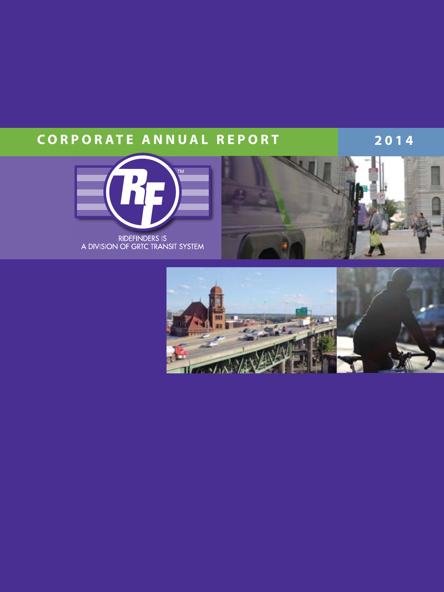# **CORPORATE ANNUAL REPORT 2014**





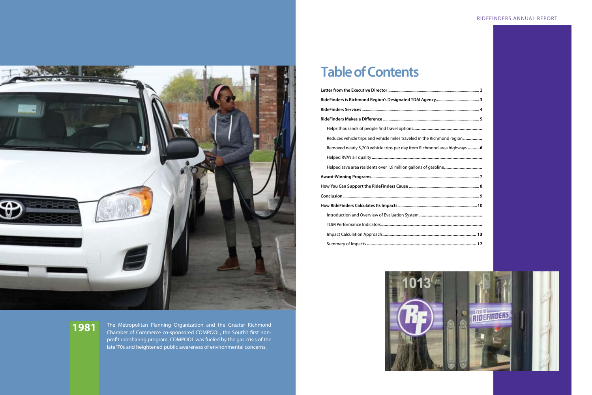

# **Table of Contents**

| Reduces vehicle trips and vehicle miles traveled in the Richmond region   |  |
|---------------------------------------------------------------------------|--|
| Removed nearly 5,700 vehicle trips per day from Richmond area highways  6 |  |
|                                                                           |  |
|                                                                           |  |
|                                                                           |  |
|                                                                           |  |
|                                                                           |  |
|                                                                           |  |
|                                                                           |  |
|                                                                           |  |
|                                                                           |  |
|                                                                           |  |



The Metropolitan Planning Organization and the Greater Richmond Chamber of Commerce co-sponsored COMPOOL, the South's first nonprofit ridesharing program. COMPOOL was fueled by the gas crisis of the late '70s and heightened public awareness of environmental concerns.

**1981**

### RIDEFINDERS ANNUAL REPORT

| led in the Richmond region  |
|-----------------------------|
| om Richmond area highways 6 |
|                             |
| allons of gasoline          |
|                             |
|                             |
|                             |
|                             |
|                             |
|                             |
|                             |
|                             |
|                             |

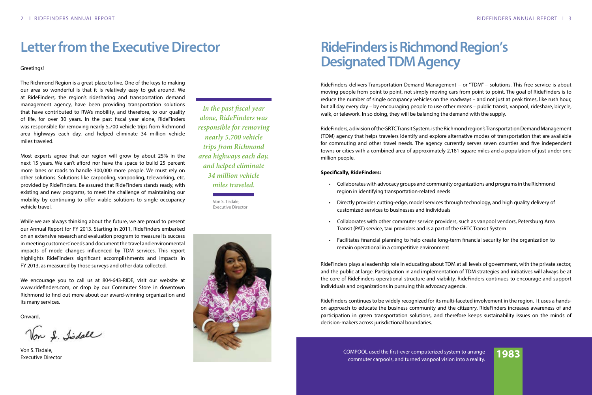Greetings!

The Richmond Region is a great place to live. One of the keys to making our area so wonderful is that it is relatively easy to get around. We at RideFinders, the region's ridesharing and transportation demand management agency, have been providing transportation solutions that have contributed to RVA's mobility, and therefore, to our quality of life, for over 30 years. In the past fiscal year alone, RideFinders was responsible for removing nearly 5,700 vehicle trips from Richmond area highways each day, and helped eliminate 34 million vehicle miles traveled.

Most experts agree that our region will grow by about 25% in the next 15 years. We can't afford nor have the space to build 25 percent more lanes or roads to handle 300,000 more people. We must rely on other solutions. Solutions like carpooling, vanpooling, teleworking, etc. provided by RideFinders. Be assured that RideFinders stands ready, with existing and new programs, to meet the challenge of maintaining our mobility by continuing to offer viable solutions to single occupancy vehicle travel.

While we are always thinking about the future, we are proud to present our Annual Report for FY 2013. Starting in 2011, RideFinders embarked on an extensive research and evaluation program to measure its success in meeting customers' needs and document the travel and environmental impacts of mode changes influenced by TDM services. This report highlights RideFinders significant accomplishments and impacts in FY 2013, as measured by those surveys and other data collected.

We encourage you to call us at 804-643-RIDE, visit our website at www.ridefinders.com, or drop by our Commuter Store in downtown Richmond to find out more about our award-winning organization and its many services.

Onward,

Von S. Lidall

Von S. Tisdale, Executive Director

# **Letter from the Executive Director**

- Collaborates with advocacy groups and community organizations and programs in the Richmond region in identifying transportation-related needs
- Directly provides cutting-edge, model services through technology, and high quality delivery of customized services to businesses and individuals
- Collaborates with other commuter service providers, such as vanpool vendors, Petersburg Area Transit (PAT) service, taxi providers and is a part of the GRTC Transit System
- Facilitates financial planning to help create long-term financial security for the organization to remain operational in a competitive environment

*In the past fiscal year alone, RideFinders was responsible for removing nearly 5,700 vehicle trips from Richmond area highways each day, and helped eliminate 34 million vehicle miles traveled.*

Von S. Tisdale, Executive Director



# **RideFinders is Richmond Region's Designated TDM Agency**

COMPOOL used the first-ever computerized system to arrange OMPOOL used the first-ever computerized system to arrange **1983**<br>commuter carpools, and turned vanpool vision into a reality.

RideFinders delivers Transportation Demand Management – or "TDM" – solutions. This free service is about moving people from point to point, not simply moving cars from point to point. The goal of RideFinders is to reduce the number of single occupancy vehicles on the roadways – and not just at peak times, like rush hour, but all day every day – by encouraging people to use other means – public transit, vanpool, rideshare, bicycle, walk, or telework. In so doing, they will be balancing the demand with the supply.

RideFinders, a division of the GRTC Transit System, is the Richmond region's Transportation Demand Management (TDM) agency that helps travelers identify and explore alternative modes of transportation that are available for commuting and other travel needs. The agency currently serves seven counties and five independent towns or cities with a combined area of approximately 2,181 square miles and a population of just under one million people.

### **Specifically, RideFinders:**

RideFinders plays a leadership role in educating about TDM at all levels of government, with the private sector, and the public at large. Participation in and implementation of TDM strategies and initiatives will always be at the core of RideFinders operational structure and viability. RideFinders continues to encourage and support individuals and organizations in pursuing this advocacy agenda.

RideFinders continues to be widely recognized for its multi-faceted involvement in the region. It uses a handson approach to educate the business community and the citizenry. RideFinders increases awareness of and participation in green transportation solutions, and therefore keeps sustainability issues on the minds of decision-makers across jurisdictional boundaries.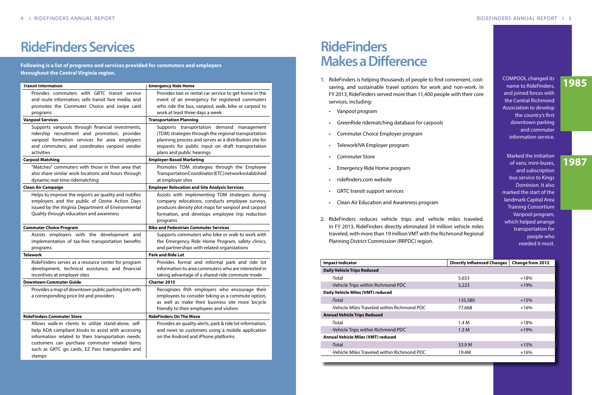# **RideFinders Services**

### **Following is a list of programs and services provided for commuters and employers throughout the Central Virginia region.**

| <b>Transit Information</b>                                                                                                                                                                                                                                                     | <b>Emergency Ride Home</b>                                                                                                                                                                                                                    |
|--------------------------------------------------------------------------------------------------------------------------------------------------------------------------------------------------------------------------------------------------------------------------------|-----------------------------------------------------------------------------------------------------------------------------------------------------------------------------------------------------------------------------------------------|
| Provides commuters with GRTC transit service<br>and route information; sells transit fare media, and<br>promotes the Commuter Choice and swipe card<br>programs                                                                                                                | Provides taxi or rental car service to get home in the<br>event of an emergency for registered commuters<br>who ride the bus, vanpool, walk, bike or carpool to<br>work at least three days a week                                            |
| <b>Vanpool Services</b>                                                                                                                                                                                                                                                        | <b>Transportation Planning</b>                                                                                                                                                                                                                |
| Supports vanpools through financial investments,<br>ridership recruitment and promotion; provides<br>vanpool formation services for area employers<br>and commuters; and coordinates vanpool vendor<br>activities                                                              | Supports transportation demand management<br>(TDM) strategies through the regional transportation<br>planning process and serves as a distribution site for<br>requests for public input on draft transportation<br>plans and public hearings |
| <b>Carpool Matching</b>                                                                                                                                                                                                                                                        | <b>Employer-Based Marketing</b>                                                                                                                                                                                                               |
| "Matches" commuters with those in their area that<br>also share similar work locations and hours through<br>dynamic real-time ridematching                                                                                                                                     | Promotes TDM strategies through the Employee<br>TransportationCoordinator(ETC)networkestablished<br>at employer sites                                                                                                                         |
| <b>Clean Air Campaign</b>                                                                                                                                                                                                                                                      | <b>Employer Relocation and Site Analysis Services</b>                                                                                                                                                                                         |
| Helps to improve the region's air quality and notifies<br>employers and the public of Ozone Action Days<br>issued by the Virginia Department of Environmental<br>Quality through education and awareness                                                                       | Assists with implementing TDM strategies during<br>company relocations, conducts employee surveys,<br>produces density plot maps for vanpool and carpool<br>formation, and develops employee trip reduction<br>programs                       |
| <b>Commuter Choice Program</b>                                                                                                                                                                                                                                                 | <b>Bike and Pedestrian Commuter Services</b>                                                                                                                                                                                                  |
| Assists employers with the development and<br>implementation of tax-free transportation benefits<br>programs                                                                                                                                                                   | Supports commuters who bike or walk to work with<br>the Emergency Ride Home Program, safety clinics,<br>and partnerships with related organizations                                                                                           |
| <b>Telework</b>                                                                                                                                                                                                                                                                | <b>Park and Ride Lot</b>                                                                                                                                                                                                                      |
| RideFinders serves as a resource center for program<br>development, technical assistance, and financial<br>incentives at employer sites                                                                                                                                        | Provides formal and informal park and ride lot<br>information to area commuters who are interested in<br>taking advantage of a shared-ride commute mode                                                                                       |
| <b>Downtown Commuter Guide</b>                                                                                                                                                                                                                                                 | Charter 2015                                                                                                                                                                                                                                  |
| Provides a map of downtown public parking lots with<br>a corresponding price list and providers                                                                                                                                                                                | Recognizes RVA employers who encourage their<br>employees to consider biking as a commute option,<br>as well as make their business site more bicycle<br>friendly to their employees and visitors                                             |
| <b>RideFinders Commuter Store</b>                                                                                                                                                                                                                                              | <b>RideFinders On The Move</b>                                                                                                                                                                                                                |
| Allows walk-in clients to utilize stand-alone, self-<br>help ADA compliant kiosks to assist with accessing<br>information related to their transportation needs;<br>customers can purchase commuter related items<br>such as GRTC go cards, EZ Pass transponders and<br>stamps | Provides air quality alerts, park & ride lot information,<br>and news to customers using a mobile application<br>on the Android and iPhone platforms                                                                                          |

# **RideFinders Makes a Difference**

- 1. RideFinders is helping thousands of people to find convenient, costsaving, and sustainable travel options for work and non-work. In FY 2013, RideFinders served more than 11,400 people with their core services, including:
	- Vanpool program
	- GreenRide ridematching database for carpools
	- Commuter Choice Employer program
	- Telework!VA Employer program
	- **Commuter Store**
	- Emergency Ride Home program
	- ridefinders.com website
	- **GRTC transit support services**
	- Clean Air Education and Awareness program
- 2. RideFinders reduces vehicle trips and vehicle miles traveled. In FY 2013, RideFinders directly eliminated 34 million vehicle miles traveled, with more than 19 million VMT with the Richmond Regional Planning District Commission (RRPDC) region.

| <b>Impact Indicator</b>                     | <b>Directly Influenced Changes</b> | <b>Change from 2012</b> |
|---------------------------------------------|------------------------------------|-------------------------|
| <b>Daily Vehicle Trips Reduced</b>          |                                    |                         |
| -Total                                      | 5,653                              | $+18%$                  |
| -Vehicle Trips within Richmond PDC          | 5,223                              | $+19%$                  |
| Daily Vehicle Miles (VMT) reduced           |                                    |                         |
| -Total                                      | 135,580                            | $+15%$                  |
| -Vehicle Miles Traveled within Richmond PDC | 77,668                             | $+16%$                  |
| <b>Annual Vehicle Trips Reduced</b>         |                                    |                         |
| -Total                                      | 1.4M                               | $+18%$                  |
| -Vehicle Trips within Richmond PDC          | 1.3M                               | $+19%$                  |
| Annual Vehicle Miles (VMT) reduced          |                                    |                         |
| -Total                                      | 33.9 M                             | $+15%$                  |
| -Vehicle Miles Traveled within Richmond PDC | 19.4M                              | $+16%$                  |
|                                             |                                    |                         |

COMPOOL changed its name to RideFinders, and joined forces with the Central Richmond Association to develop the country's first downtown parking and commuter information service.

Marked the initiation of vans, mini-buses, and subscription bus service to Kings Dominion. It also marked the start of the landmark Capital Area Training Consortium Vanpool program, which helped arrange transportation for people who needed it most.

# **1985**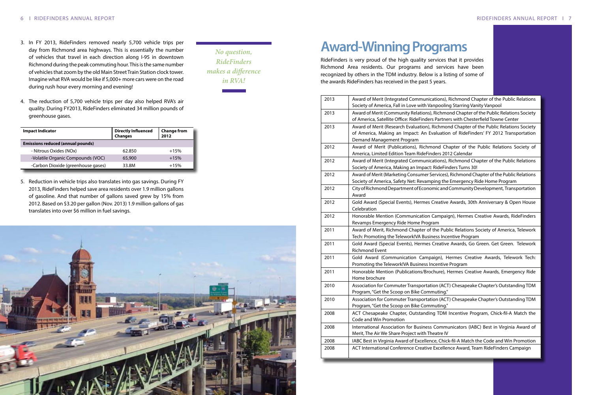Communications), Richmond Chapter of the Public Relations ove with Vanpooling Starring Vanity Vanpool

Relations), Richmond Chapter of the Public Relations Society RideFinders Partners with Chesterfield Towne Center

2013 Evaluation), Richmond Chapter of the Public Relations Society pact: An Evaluation of RideFinders' FY 2012 Transportation gram

2012 Award Chapter of the Public Relations Society of eam RideFinders 2012 Calendar

Communications), Richmond Chapter of the Public Relations an Impact: RideFinders Turns 30!

**Consumer Services), Richmond Chapter of the Public Relations** Net: Revamping the Emergency Ride Home Program

ent of Economic and Community Development, Transportation

s), Hermes Creative Awards, 30th Anniversary & Open House

nunication Campaign), Hermes Creative Awards, RideFinders Home Program

Chapter of the Public Relations Society of America, Telework ork!VA Business Incentive Program

s), Hermes Creative Awards, Go Green. Get Green. Telework

tion Campaign), Hermes Creative Awards, Telework Tech: **Business Incentive Program** 

cations/Brochure), Hermes Creative Awards, Emergency Ride

Transportation (ACT) Chesapeake Chapter's Outstanding TDM Bike Commuting."

Transportation (ACT) Chesapeake Chapter's Outstanding TDM **Bike Commuting."** 

Outstanding TDM Incentive Program, Chick-fil-A Match the

ior Business Communicators (IABC) Best in Virginia Award of ject with Theatre IV

of Excellence, Chick-fil-A Match the Code and Win Promotion nce Creative Excellence Award, Team RideFinders Campaign

- 3. In FY 2013, RideFinders removed nearly 5,700 vehicle trips per day from Richmond area highways. This is essentially the number of vehicles that travel in each direction along I-95 in downtown Richmond during the peak commuting hour. This is the same number of vehicles that zoom by the old Main Street Train Station clock tower. Imagine what RVA would be like if 5,000+ more cars were on the road during rush hour every morning and evening!
- 4. The reduction of 5,700 vehicle trips per day also helped RVA's air quality. During FY2013, RideFinders eliminated 34 million pounds of greenhouse gases.

5. Reduction in vehicle trips also translates into gas savings. During FY 2013, RideFinders helped save area residents over 1.9 million gallons of gasoline. And that number of gallons saved grew by 15% from 2012. Based on \$3.20 per gallon (Nov. 2013) 1.9 million gallons of gas translates into over \$6 million in fuel savings.



| <b>Impact Indicator</b>                  | <b>Directly Influenced</b><br><b>Changes</b> | <b>Change from</b><br>2012 |
|------------------------------------------|----------------------------------------------|----------------------------|
| <b>Emissions reduced (annual pounds)</b> |                                              |                            |
| - Nitrous Oxides (NOx)                   | 62.850                                       | $+15%$                     |
| -Volatile Organic Compounds (VOC)        | 65,900                                       | $+15%$                     |
| -Carbon Dioxide (greenhouse gases)       | 33.8M                                        | $+15%$                     |

*No question, RideFinders makes a difference in RVA!*

# **Award-Winning Programs**

RideFinders is very proud of the high quality services that it provides Richmond Area residents. Our programs and services have been recognized by others in the TDM industry. Below is a listing of some of the awards RideFinders has received in the past 5 years.

| 2013 | Award of Merit (Integrated<br>Society of America, Fall in Lo                              |
|------|-------------------------------------------------------------------------------------------|
| 2013 | <b>Award of Merit (Community</b><br>of America, Satellite Office:                         |
| 2013 | Award of Merit (Research Ev<br>of America, Making an Imp<br><b>Demand Management Prog</b> |
| 2012 | Award of Merit (Publicatio<br>America, Limited Edition Tea                                |
| 2012 | Award of Merit (Integrated<br>Society of America, Making                                  |
| 2012 | Award of Merit (Marketing C<br>Society of America, Safety N                               |
| 2012 | City of Richmond Departmer<br>Award                                                       |
| 2012 | <b>Gold Award (Special Events</b><br>Celebration                                          |
| 2012 | Honorable Mention (Comm<br>Revamps Emergency Ride H                                       |
| 2011 | Award of Merit, Richmond<br>Tech: Promoting the Telewo                                    |
| 2011 | <b>Gold Award (Special Events</b><br><b>Richmond Event</b>                                |
| 2011 | Gold Award (Communicat<br>Promoting the Telework!VA                                       |
| 2011 | Honorable Mention (Public<br>Home brochure                                                |
| 2010 | <b>Association for Commuter T</b><br>Program, "Get the Scoop on                           |
| 2010 | <b>Association for Commuter T</b><br>Program, "Get the Scoop on                           |
| 2008 | ACT Chesapeake Chapter,<br>Code and Win Promotion                                         |
| 2008 | International Association fo<br>Merit, The Air We Share Proj                              |
| 2008 | IABC Best in Virginia Award                                                               |
| 2008 | <b>ACT International Conferen</b>                                                         |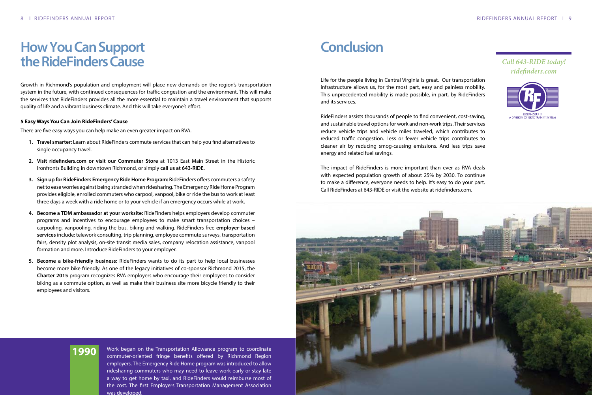# **How You Can Support the RideFinders Cause**

Growth in Richmond's population and employment will place new demands on the region's transportation system in the future, with continued consequences for traffic congestion and the environment. This will make the services that RideFinders provides all the more essential to maintain a travel environment that supports quality of life and a vibrant business climate. And this will take everyone's effort.

### **5 Easy Ways You Can Join RideFinders' Cause**

There are five easy ways you can help make an even greater impact on RVA.

- **1. Travel smarter:** Learn about RideFinders commute services that can help you find alternatives to single occupancy travel.
- **2. Visit ridefinders.com or visit our Commuter Store** at 1013 East Main Street in the Historic Ironfronts Building in downtown Richmond, or simply **call us at 643-RIDE.**
- **3. Sign up for RideFinders Emergency Ride Home Program:** RideFinders offers commuters a safety net to ease worries against being stranded when ridesharing. The Emergency Ride Home Program provides eligible, enrolled commuters who carpool, vanpool, bike or ride the bus to work at least three days a week with a ride home or to your vehicle if an emergency occurs while at work.
- **4. Become a TDM ambassador at your worksite:** RideFinders helps employers develop commuter programs and incentives to encourage employees to make smart transportation choices – carpooling, vanpooling, riding the bus, biking and walking. RideFinders free **employer-based services** include: telework consulting, trip planning, employee commute surveys, transportation fairs, density plot analysis, on-site transit media sales, company relocation assistance, vanpool formation and more. Introduce RideFinders to your employer.
- **5. Become a bike-friendly business:** RideFinders wants to do its part to help local businesses become more bike friendly. As one of the legacy initiatives of co-sponsor Richmond 2015, the **Charter 2015** program recognizes RVA employers who encourage their employees to consider biking as a commute option, as well as make their business site more bicycle friendly to their employees and visitors.

# **Conclusion**

Life for the people living in Central Virginia is great. Our transportation infrastructure allows us, for the most part, easy and painless mobility. This unprecedented mobility is made possible, in part, by RideFinders and its services.

RideFinders assists thousands of people to find convenient, cost-saving, and sustainable travel options for work and non-work trips. Their services reduce vehicle trips and vehicle miles traveled, which contributes to reduced traffic congestion. Less or fewer vehicle trips contributes to cleaner air by reducing smog-causing emissions. And less trips save energy and related fuel savings.

The impact of RideFinders is more important than ever as RVA deals with expected population growth of about 25% by 2030. To continue to make a difference, everyone needs to help. It's easy to do your part. Call RideFinders at 643-RIDE or visit the website at ridefinders.com.



*Call 643-RIDE today! ridefinders.com*



Work began on the Transportation Allowance program to coordinate commuter-oriented fringe benefits offered by Richmond Region employers. The Emergency Ride Home program was introduced to allow ridesharing commuters who may need to leave work early or stay late a way to get home by taxi, and RideFinders would reimburse most of the cost. The first Employers Transportation Management Association was developed.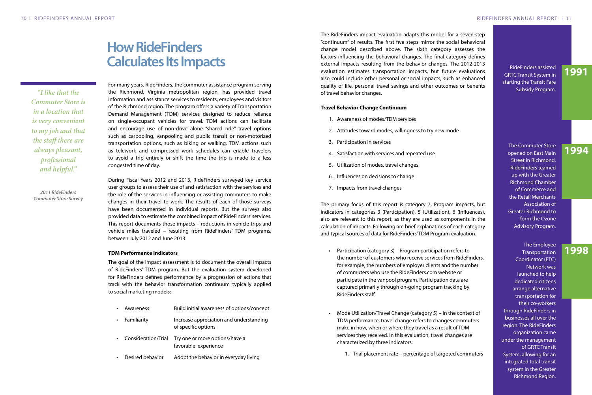#### 10 I RIDEFINDERS ANNUAL REPORT RIDEFINDERS ANNUAL REPORT I 11

# **How RideFinders Calculates Its Impacts**

For many years, RideFinders, the commuter assistance program serving the Richmond, Virginia metropolitan region, has provided travel information and assistance services to residents, employees and visitors of the Richmond region. The program offers a variety of Transportation Demand Management (TDM) services designed to reduce reliance on single-occupant vehicles for travel. TDM actions can facilitate and encourage use of non-drive alone "shared ride" travel options such as carpooling, vanpooling and public transit or non-motorized transportation options, such as biking or walking. TDM actions such as telework and compressed work schedules can enable travelers to avoid a trip entirely or shift the time the trip is made to a less congested time of day.

- • Awareness Build initial awareness of options/concept • Familiarity Increase appreciation and understanding
- of specific options
- Consideration/Trial Try one or more options/have a favorable experience
- Desired behavior Adopt the behavior in everyday living

During Fiscal Years 2012 and 2013, RideFinders surveyed key service user groups to assess their use of and satisfaction with the services and the role of the services in influencing or assisting commuters to make changes in their travel to work. The results of each of those surveys have been documented in individual reports. But the surveys also provided data to estimate the combined impact of RideFinders' services. This report documents those impacts – reductions in vehicle trips and vehicle miles traveled – resulting from RideFinders' TDM programs, between July 2012 and June 2013.

### **TDM Performance Indicators**

The goal of the impact assessment is to document the overall impacts of RideFinders' TDM program. But the evaluation system developed for RideFinders defines performance by a progression of actions that track with the behavior transformation continuum typically applied to social marketing models:

- Participation (category 3) Program participation refers to the number of customers who receive services from RideFinders, for example, the numbers of employer clients and the number of commuters who use the RideFinders.com website or participate in the vanpool program. Participation data are captured primarily through on-going program tracking by RideFinders staff.
- Mode Utilization/Travel Change (category 5) In the context of TDM performance, travel change refers to changes commuters make in how, when or where they travel as a result of TDM services they received. In this evaluation, travel changes are characterized by three indicators:
	-

*"I like that the Commuter Store is in a location that is very convenient to my job and that the staff there are always pleasant, professional and helpful."*

*2011 RideFinders Commuter Store Survey* The RideFinders impact evaluation adapts this model for a seven-step "continuum" of results. The first five steps mirror the social behavioral change model described above. The sixth category assesses the factors influencing the behavioral changes. The final category defines external impacts resulting from the behavior changes. The 2012-2013 evaluation estimates transportation impacts, but future evaluations also could include other personal or social impacts, such as enhanced quality of life, personal travel savings and other outcomes or benefits of travel behavior changes.

#### **Travel Behavior Change Continuum**

- 1. Awareness of modes/TDM services
- 2. Attitudes toward modes, willingness to try new mode
- 3. Participation in services
- 4. Satisfaction with services and repeated use
- 5. Utilization of modes, travel changes
- 6. Influences on decisions to change
- 7. Impacts from travel changes

The primary focus of this report is category 7, Program impacts, but indicators in categories 3 (Participation), 5 (Utilization), 6 (Influences), also are relevant to this report, as they are used as components in the calculation of impacts. Following are brief explanations of each category and typical sources of data for RideFinders' TDM Program evaluation.

1. Trial placement rate – percentage of targeted commuters

RideFinders assisted GRTC Transit System in starting the Transit Fare Subsidy Program.

The Commuter Store opened on East Main Street in Richmond. RideFinders teamed up with the Greater Richmond Chamber of Commerce and the Retail Merchants Association of Greater Richmond to form the Ozone Advisory Program.

The Employee **Transportation** Coordinator (ETC) Network was launched to help dedicated citizens arrange alternative transportation for their co-workers through RideFinders in businesses all over the region. The RideFinders organization came under the management of GRTC Transit System, allowing for an integrated total transit system in the Greater Richmond Region.

# **1991**

## **1994**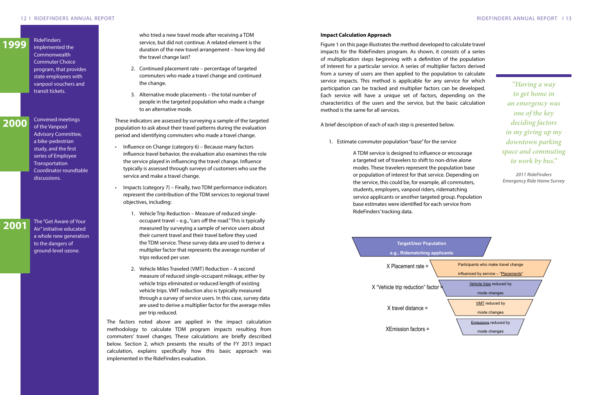who tried a new travel mode after receiving a TDM service, but did not continue. A related element is the duration of the new travel arrangement – how long did the travel change last?

- 2. Continued placement rate percentage of targeted commuters who made a travel change and continued the change.
- 3. Alternative mode placements the total number of people in the targeted population who made a change to an alternative mode.

These indicators are assessed by surveying a sample of the targeted population to ask about their travel patterns during the evaluation period and identifying commuters who made a travel change.

- Influence on Change (category  $6$ ) Because many factors influence travel behavior, the evaluation also examines the role the service played in influencing the travel change. Influence typically is assessed through surveys of customers who use the service and make a travel change.
- Impacts (category  $7$ ) Finally, two TDM performance indicators represent the contribution of the TDM services to regional travel objectives, including:
	- 1. Vehicle Trip Reduction Measure of reduced singleoccupant travel – e.g., "cars off the road." This is typically measured by surveying a sample of service users about their current travel and their travel before they used the TDM service. These survey data are used to derive a multiplier factor that represents the average number of trips reduced per user.
	- 2. Vehicle Miles Traveled (VMT) Reduction A second measure of reduced single-occupant mileage, either by vehicle trips eliminated or reduced length of existing vehicle trips. VMT reduction also is typically measured through a survey of service users. In this case, survey data are used to derive a multiplier factor for the average miles per trip reduced.

The factors noted above are applied in the impact calculation methodology to calculate TDM program impacts resulting from commuters' travel changes. These calculations are briefly described below. Section 2, which presents the results of the FY 2013 impact calculation, explains specifically how this basic approach was implemented in the RideFinders evaluation.

#### **Impact Calculation Approach**

Figure 1 on this page illustrates the method developed to calculate travel impacts for the RideFinders program. As shown, it consists of a series of multiplication steps beginning with a definition of the population of interest for a particular service. A series of multiplier factors derived from a survey of users are then applied to the population to calculate service impacts. This method is applicable for any service for which participation can be tracked and multiplier factors can be developed. Each service will have a unique set of factors, depending on the characteristics of the users and the service, but the basic calculation method is the same for all services.

A brief description of each of each step is presented below.

1. Estimate commuter population "base" for the service

A TDM service is designed to influence or encourage a targeted set of travelers to shift to non-drive alone modes. These travelers represent the population base or population of interest for that service. Depending on the service, this could be, for example, all commuters, students, employers, vanpool riders, ridematching service applicants or another targeted group. Population base estimates were identified for each service from RideFinders' tracking data.

*"Having a way to get home in an emergency was one of the key deciding factors in my giving up my downtown parking space and commuting to work by bus."*

*2011 RideFinders Emergency Ride Home Survey*



X Placement rate =

X "Vehicle trip reduction" factor  $\frac{5}{2}$ 

X travel distance =

XEmission factors =

implemented the **Commonwealth** Commuter Choice program, that provides state employees with vanpool vouchers and transit tickets.

**RideFinders** 

Convened meetings of the Vanpool Advisory Committee, a bike-pedestrian study, and the first series of Employee Transportation Coordinator roundtable discussions.

The "Get Aware of Your Air" initiative educated a whole new generation to the dangers of ground-level ozone.

## **2000**

## **2001**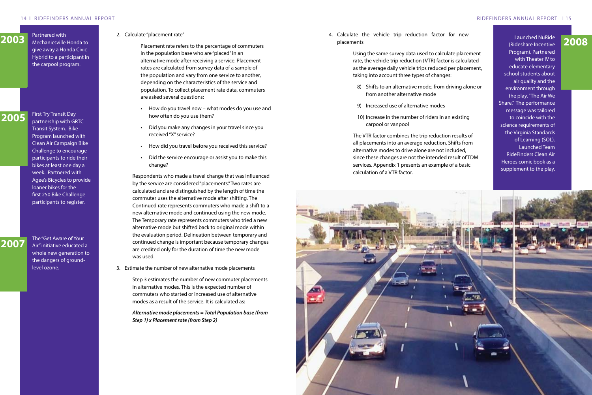#### 14 I RIDEFINDERS ANNUAL REPORT RIDEFINDERS ANNUAL REPORT I 15

2. Calculate "placement rate"

Placement rate refers to the percentage of commuters in the population base who are "placed" in an alternative mode after receiving a service. Placement rates are calculated from survey data of a sample of the population and vary from one service to another, depending on the characteristics of the service and population. To collect placement rate data, commuters are asked several questions:

- • How do you travel now what modes do you use and how often do you use them?
- Did you make any changes in your travel since you received "X" service?
- How did you travel before you received this service?
- Did the service encourage or assist you to make this change?

4. Calculate the vehicle trip reduction factor for new placements Partnered With Mechanicsville Honda to and the placement rate of the partners of commuters and the placements of the partners of commuters and the placements of the partners of commuters and the placements of the partners

> Respondents who made a travel change that was influenced by the service are considered "placements." Two rates are calculated and are distinguished by the length of time the commuter uses the alternative mode after shifting. The Continued rate represents commuters who made a shift to a new alternative mode and continued using the new mode. The Temporary rate represents commuters who tried a new alternative mode but shifted back to original mode within the evaluation period. Delineation between temporary and continued change is important because temporary changes are credited only for the duration of time the new mode was used.

3. Estimate the number of new alternative mode placements

Step 3 estimates the number of new commuter placements in alternative modes. This is the expected number of commuters who started or increased use of alternative modes as a result of the service. It is calculated as:

*Alternative mode placements = Total Population base (from Step 1) x Placement rate (from Step 2)* 

Using the same survey data used to calculate placement rate, the vehicle trip reduction (VTR) factor is calculated as the average daily vehicle trips reduced per placement, taking into account three types of changes:

8) Shifts to an alternative mode, from driving alone or

- from another alternative mode
- 9) Increased use of alternative modes
- carpool or vanpool

10) Increase in the number of riders in an existing

The VTR factor combines the trip reduction results of all placements into an average reduction. Shifts from alternative modes to drive alone are not included, since these changes are not the intended result of TDM services. Appendix 1 presents an example of a basic calculation of a VTR factor.



Partnered with Mechanicsville Honda to give away a Honda Civic Hybrid to a participant in the carpool program.

First Try Transit Day partnership with GRTC Transit System. Bike Program launched with Clean Air Campaign Bike Challenge to encourage participants to ride their bikes at least one day a week. Partnered with Agee's Bicycles to provide loaner bikes for the first 250 Bike Challenge participants to register.

The "Get Aware of Your

Air" initiative educated a whole new generation to the dangers of groundlevel ozone.

## **2005**

# **2007**

(Rideshare Incentive Program). Partnered with Theater IV to educate elementary school students about air quality and the environment through the play, "The Air We Share." The performance message was tailored to coincide with the science requirements of the Virginia Standards of Learning (SOL). Launched Team RideFinders Clean Air Heroes comic book as a supplement to the play.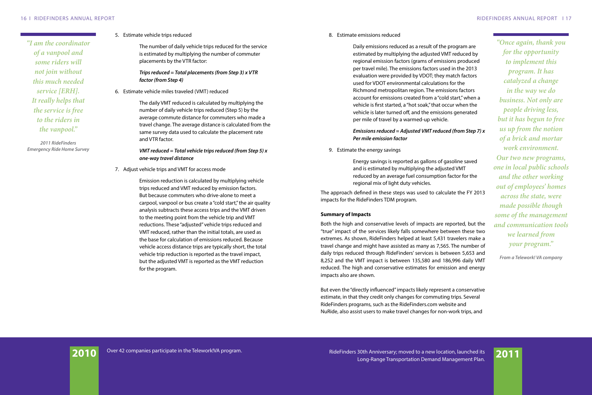5. Estimate vehicle trips reduced

The number of daily vehicle trips reduced for the service is estimated by multiplying the number of commuter placements by the VTR factor:

## *Trips reduced = Total placements (from Step 3) x VTR factor (from Step 4)*

6. Estimate vehicle miles traveled (VMT) reduced

The daily VMT reduced is calculated by multiplying the number of daily vehicle trips reduced (Step 5) by the average commute distance for commuters who made a travel change. The average distance is calculated from the same survey data used to calculate the placement rate and VTR factor.

### *VMT reduced = Total vehicle trips reduced (from Step 5) x one-way travel distance*

7. Adjust vehicle trips and VMT for access mode

Emission reduction is calculated by multiplying vehicle trips reduced and VMT reduced by emission factors. But because commuters who drive-alone to meet a carpool, vanpool or bus create a "cold start," the air quality analysis subtracts these access trips and the VMT driven to the meeting point from the vehicle trip and VMT reductions. These "adjusted" vehicle trips reduced and VMT reduced, rather than the initial totals, are used as the base for calculation of emissions reduced. Because vehicle access distance trips are typically short, the total vehicle trip reduction is reported as the travel impact, but the adjusted VMT is reported as the VMT reduction for the program.

*"I am the coordinator of a vanpool and some riders will not join without this much needed service [ERH]. It really helps that the service is free to the riders in the vanpool."*

*2011 RideFinders Emergency Ride Home Survey* 8. Estimate emissions reduced

Daily emissions reduced as a result of the program are estimated by multiplying the adjusted VMT reduced by regional emission factors (grams of emissions produced per travel mile). The emissions factors used in the 2013 evaluation were provided by VDOT; they match factors used for VDOT environmental calculations for the Richmond metropolitan region. The emissions factors account for emissions created from a "cold start," when a vehicle is first started, a "hot soak," that occur when the vehicle is later turned off, and the emissions generated per mile of travel by a warmed-up vehicle.

### *Emissions reduced = Adjusted VMT reduced (from Step 7) x Per mile emission factor*

9. Estimate the energy savings

Energy savings is reported as gallons of gasoline saved and is estimated by multiplying the adjusted VMT reduced by an average fuel consumption factor for the regional mix of light duty vehicles.

The approach defined in these steps was used to calculate the FY 2013 impacts for the RideFinders TDM program.

### **Summary of Impacts**

Both the high and conservative levels of impacts are reported, but the "true" impact of the services likely falls somewhere between these two extremes. As shown, RideFinders helped at least 5,431 travelers make a travel change and might have assisted as many as 7,565. The number of daily trips reduced through RideFinders' services is between 5,653 and 8,252 and the VMT impact is between 135,580 and 186,996 daily VMT reduced. The high and conservative estimates for emission and energy impacts also are shown.

But even the "directly influenced" impacts likely represent a conservative estimate, in that they credit only changes for commuting trips. Several RideFinders programs, such as the RideFinders.com website and NuRide, also assist users to make travel changes for non-work trips, and



*"Once again, thank you for the opportunity to implement this program. It has catalyzed a change in the way we do business. Not only are people driving less, but it has begun to free us up from the notion of a brick and mortar work environment. Our two new programs, one in local public schools and the other working out of employees' homes across the state, were made possible though some of the management and communication tools we learned from your program."*

*From a Telework! VA company*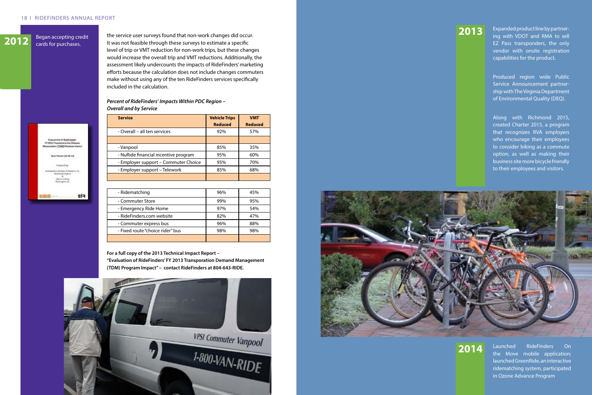#### 18 I RIDEFINDERS ANNUAL REPORT

**2012** Began accepting credit cards for purchases.

**EVALUATION OF RIGHT INCHEST** 

**AT (TDM) PROG** 

Deart Resert (10-30-13)

Fis

FY 2013 TAN

the service user surveys found that non-work changes did occur. It was not feasible through these surveys to estimate a specific level of trip or VMT reduction for non-work trips, but these changes would increase the overall trip and VMT reductions. Additionally, the assessment likely undercounts the impacts of RideFinders' marketing efforts because the calculation does not include changes commuters make without using any of the ten RideFinders services specifically included in the calculation.

### *Percent of RideFinders' Impacts Within PDC Region – Overall and by Service*

| <b>Service</b>                       | <b>Vehicle Trips</b><br><b>Reduced</b> | <b>VMT</b><br><b>Reduced</b> |
|--------------------------------------|----------------------------------------|------------------------------|
| - Overall - all ten services         | 92%                                    | 57%                          |
|                                      |                                        |                              |
| - Vanpool                            | 85%                                    | 35%                          |
| - NuRide financial incentive program | 95%                                    | 60%                          |
| - Employer support - Commuter Choice | 95%                                    | 70%                          |
| - Employer support - Telework        | 85%                                    | 68%                          |
|                                      |                                        |                              |

| - Ridematching                   | 96% | 45% |
|----------------------------------|-----|-----|
| - Commuter Store                 | 99% | 95% |
| - Emergency Ride Home            | 97% | 54% |
| - RideFinders.com website        | 82% | 47% |
| - Commuter express bus           | 96% | 88% |
| - Fixed route "choice rider" bus | 98% | 98% |
|                                  |     |     |

**For a full copy of the 2013 Technical Impact Report –** 

**"Evaluation of RideFinders' FY 2013 Transporation Demand Management (TDM) Program Impact" – contact RideFinders at 804-643-RIDE.**





Expanded product line by partnering with VDOT and RMA to sell EZ Pass transponders, the only vendor with onsite registration capabilities for the product.

Produced region wide Public Service Announcement partnership with The Virginia Department of Environmental Quality (DEQ).

Along with Richmond 2015, created Charter 2015, a program that recognizes RVA employers who encourage their employees to consider biking as a commute option, as well as making their business site more bicycle friendly to their employees and visitors.

# **2013**

Launched RideFinders On the Move mobile application; launched GreenRide, an interactive ridematching system, participated in Ozone Advance Program